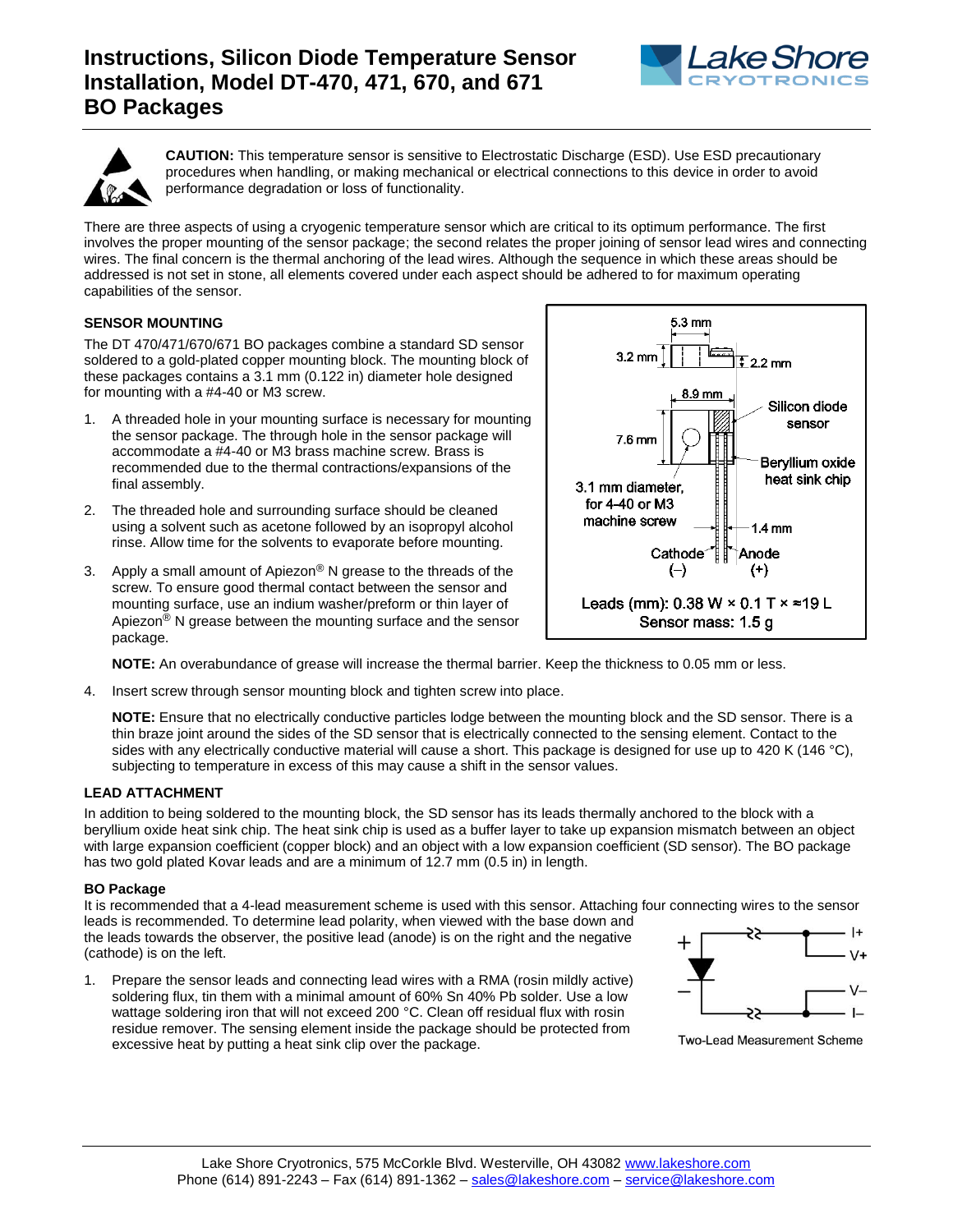# **Instructions, Silicon Diode Temperature Sensor Installation, Model DT-470, 471, 670, and 671 BO Packages**





**CAUTION:** This temperature sensor is sensitive to Electrostatic Discharge (ESD). Use ESD precautionary procedures when handling, or making mechanical or electrical connections to this device in order to avoid performance degradation or loss of functionality.

There are three aspects of using a cryogenic temperature sensor which are critical to its optimum performance. The first involves the proper mounting of the sensor package; the second relates the proper joining of sensor lead wires and connecting wires. The final concern is the thermal anchoring of the lead wires. Although the sequence in which these areas should be addressed is not set in stone, all elements covered under each aspect should be adhered to for maximum operating capabilities of the sensor.

## **SENSOR MOUNTING**

The DT 470/471/670/671 BO packages combine a standard SD sensor soldered to a gold-plated copper mounting block. The mounting block of these packages contains a 3.1 mm (0.122 in) diameter hole designed for mounting with a #4-40 or M3 screw.

- 1. A threaded hole in your mounting surface is necessary for mounting the sensor package. The through hole in the sensor package will accommodate a #4-40 or M3 brass machine screw. Brass is recommended due to the thermal contractions/expansions of the final assembly.
- 2. The threaded hole and surrounding surface should be cleaned using a solvent such as acetone followed by an isopropyl alcohol rinse. Allow time for the solvents to evaporate before mounting.
- 3. Apply a small amount of Apiezon<sup>®</sup> N grease to the threads of the screw. To ensure good thermal contact between the sensor and mounting surface, use an indium washer/preform or thin layer of Apiezon<sup>®</sup> N grease between the mounting surface and the sensor package.



4. Insert screw through sensor mounting block and tighten screw into place.

**NOTE:** Ensure that no electrically conductive particles lodge between the mounting block and the SD sensor. There is a thin braze joint around the sides of the SD sensor that is electrically connected to the sensing element. Contact to the sides with any electrically conductive material will cause a short. This package is designed for use up to 420 K (146 °C), subjecting to temperature in excess of this may cause a shift in the sensor values.

#### **LEAD ATTACHMENT**

In addition to being soldered to the mounting block, the SD sensor has its leads thermally anchored to the block with a beryllium oxide heat sink chip. The heat sink chip is used as a buffer layer to take up expansion mismatch between an object with large expansion coefficient (copper block) and an object with a low expansion coefficient (SD sensor). The BO package has two gold plated Kovar leads and are a minimum of 12.7 mm (0.5 in) in length.

### **BO Package**

It is recommended that a 4-lead measurement scheme is used with this sensor. Attaching four connecting wires to the sensor leads is recommended. To determine lead polarity, when viewed with the base down and

the leads towards the observer, the positive lead (anode) is on the right and the negative (cathode) is on the left.

1. Prepare the sensor leads and connecting lead wires with a RMA (rosin mildly active) soldering flux, tin them with a minimal amount of 60% Sn 40% Pb solder. Use a low wattage soldering iron that will not exceed 200 °C. Clean off residual flux with rosin residue remover. The sensing element inside the package should be protected from excessive heat by putting a heat sink clip over the package.



**Two-Lead Measurement Scheme**